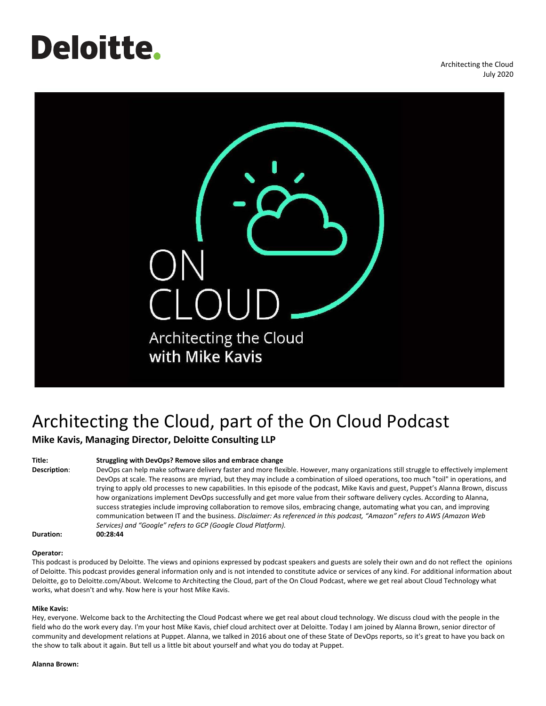# **Deloitte**.

Architecting the Cloud July 2020



# Architecting the Cloud, part of the On Cloud Podcast **Mike Kavis, Managing Director, Deloitte Consulting LLP**

# **Title: Struggling with DevOps? Remove silos and embrace change**

**Description**: DevOps can help make software delivery faster and more flexible. However, many organizations still struggle to effectively implement DevOps at scale. The reasons are myriad, but they may include a combination of siloed operations, too much "toil" in operations, and trying to apply old processes to new capabilities. In this episode of the podcast, Mike Kavis and guest, Puppet's Alanna Brown, discuss how organizations implement DevOps successfully and get more value from their software delivery cycles. According to Alanna, success strategies include improving collaboration to remove silos, embracing change, automating what you can, and improving communication between IT and the business. *Disclaimer: As referenced in this podcast, "Amazon" refers to AWS (Amazon Web Services) and "Google" refers to GCP (Google Cloud Platform).*

**Duration: 00:28:44**

# **Operator:**

This podcast is produced by Deloitte. The views and opinions expressed by podcast speakers and guests are solely their own and do not reflect the opinions of Deloitte. This podcast provides general information only and is not intended to constitute advice or services of any kind. For additional information about Deloitte, go to Deloitte.com/About. Welcome to Architecting the Cloud, part of the On Cloud Podcast, where we get real about Cloud Technology what works, what doesn't and why. Now here is your host Mike Kavis.

# **Mike Kavis:**

Hey, everyone. Welcome back to the Architecting the Cloud Podcast where we get real about cloud technology. We discuss cloud with the people in the field who do the work every day. I'm your host Mike Kavis, chief cloud architect over at Deloitte. Today I am joined by Alanna Brown, senior director of community and development relations at Puppet. Alanna, we talked in 2016 about one of these State of DevOps reports, so it's great to have you back on the show to talk about it again. But tell us a little bit about yourself and what you do today at Puppet.

#### **Alanna Brown:**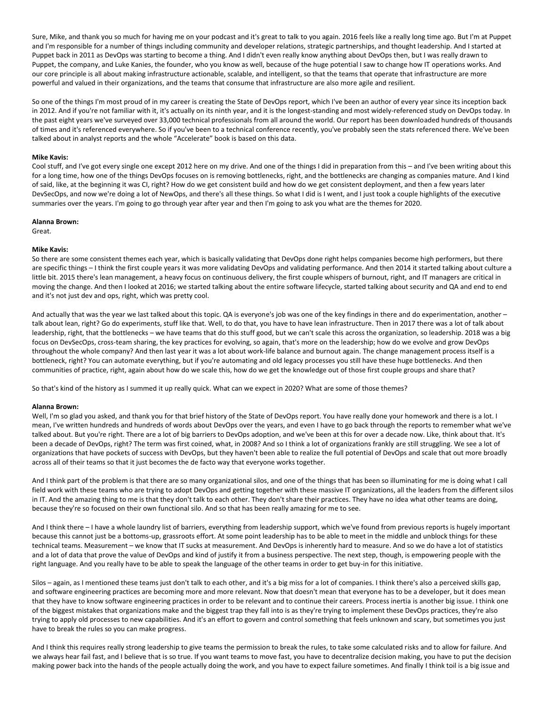Sure, Mike, and thank you so much for having me on your podcast and it's great to talk to you again. 2016 feels like a really long time ago. But I'm at Puppet and I'm responsible for a number of things including community and developer relations, strategic partnerships, and thought leadership. And I started at Puppet back in 2011 as DevOps was starting to become a thing. And I didn't even really know anything about DevOps then, but I was really drawn to Puppet, the company, and Luke Kanies, the founder, who you know as well, because of the huge potential I saw to change how IT operations works. And our core principle is all about making infrastructure actionable, scalable, and intelligent, so that the teams that operate that infrastructure are more powerful and valued in their organizations, and the teams that consume that infrastructure are also more agile and resilient.

So one of the things I'm most proud of in my career is creating the State of DevOps report, which I've been an author of every year since its inception back in 2012. And if you're not familiar with it, it's actually on its ninth year, and it is the longest-standing and most widely-referenced study on DevOps today. In the past eight years we've surveyed over 33,000 technical professionals from all around the world. Our report has been downloaded hundreds of thousands of times and it's referenced everywhere. So if you've been to a technical conference recently, you've probably seen the stats referenced there. We've been talked about in analyst reports and the whole "Accelerate" book is based on this data.

# **Mike Kavis:**

Cool stuff, and I've got every single one except 2012 here on my drive. And one of the things I did in preparation from this – and I've been writing about this for a long time, how one of the things DevOps focuses on is removing bottlenecks, right, and the bottlenecks are changing as companies mature. And I kind of said, like, at the beginning it was CI, right? How do we get consistent build and how do we get consistent deployment, and then a few years later DevSecOps, and now we're doing a lot of NewOps, and there's all these things. So what I did is I went, and I just took a couple highlights of the executive summaries over the years. I'm going to go through year after year and then I'm going to ask you what are the themes for 2020.

# **Alanna Brown:**

Great.

# **Mike Kavis:**

So there are some consistent themes each year, which is basically validating that DevOps done right helps companies become high performers, but there are specific things - I think the first couple years it was more validating DevOps and validating performance. And then 2014 it started talking about culture a little bit. 2015 there's lean management, a heavy focus on continuous delivery, the first couple whispers of burnout, right, and IT managers are critical in moving the change. And then I looked at 2016; we started talking about the entire software lifecycle, started talking about security and QA and end to end and it's not just dev and ops, right, which was pretty cool.

And actually that was the year we last talked about this topic. QA is everyone's job was one of the key findings in there and do experimentation, another – talk about lean, right? Go do experiments, stuff like that. Well, to do that, you have to have lean infrastructure. Then in 2017 there was a lot of talk about leadership, right, that the bottlenecks – we have teams that do this stuff good, but we can't scale this across the organization, so leadership. 2018 was a big focus on DevSecOps, cross-team sharing, the key practices for evolving, so again, that's more on the leadership; how do we evolve and grow DevOps throughout the whole company? And then last year it was a lot about work-life balance and burnout again. The change management process itself is a bottleneck, right? You can automate everything, but if you're automating and old legacy processes you still have these huge bottlenecks. And then communities of practice, right, again about how do we scale this, how do we get the knowledge out of those first couple groups and share that?

So that's kind of the history as I summed it up really quick. What can we expect in 2020? What are some of those themes?

# **Alanna Brown:**

Well, I'm so glad you asked, and thank you for that brief history of the State of DevOps report. You have really done your homework and there is a lot. I mean, I've written hundreds and hundreds of words about DevOps over the years, and even I have to go back through the reports to remember what we've talked about. But you're right. There are a lot of big barriers to DevOps adoption, and we've been at this for over a decade now. Like, think about that. It's been a decade of DevOps, right? The term was first coined, what, in 2008? And so I think a lot of organizations frankly are still struggling. We see a lot of organizations that have pockets of success with DevOps, but they haven't been able to realize the full potential of DevOps and scale that out more broadly across all of their teams so that it just becomes the de facto way that everyone works together.

And I think part of the problem is that there are so many organizational silos, and one of the things that has been so illuminating for me is doing what I call field work with these teams who are trying to adopt DevOps and getting together with these massive IT organizations, all the leaders from the different silos in IT. And the amazing thing to me is that they don't talk to each other. They don't share their practices. They have no idea what other teams are doing, because they're so focused on their own functional silo. And so that has been really amazing for me to see.

And I think there – I have a whole laundry list of barriers, everything from leadership support, which we've found from previous reports is hugely important because this cannot just be a bottoms-up, grassroots effort. At some point leadership has to be able to meet in the middle and unblock things for these technical teams. Measurement – we know that IT sucks at measurement. And DevOps is inherently hard to measure. And so we do have a lot of statistics and a lot of data that prove the value of DevOps and kind of justify it from a business perspective. The next step, though, is empowering people with the right language. And you really have to be able to speak the language of the other teams in order to get buy-in for this initiative.

Silos – again, as I mentioned these teams just don't talk to each other, and it's a big miss for a lot of companies. I think there's also a perceived skills gap, and software engineering practices are becoming more and more relevant. Now that doesn't mean that everyone has to be a developer, but it does mean that they have to know software engineering practices in order to be relevant and to continue their careers. Process inertia is another big issue. I think one of the biggest mistakes that organizations make and the biggest trap they fall into is as they're trying to implement these DevOps practices, they're also trying to apply old processes to new capabilities. And it's an effort to govern and control something that feels unknown and scary, but sometimes you just have to break the rules so you can make progress.

And I think this requires really strong leadership to give teams the permission to break the rules, to take some calculated risks and to allow for failure. And we always hear fail fast, and I believe that is so true. If you want teams to move fast, you have to decentralize decision making, you have to put the decision making power back into the hands of the people actually doing the work, and you have to expect failure sometimes. And finally I think toil is a big issue and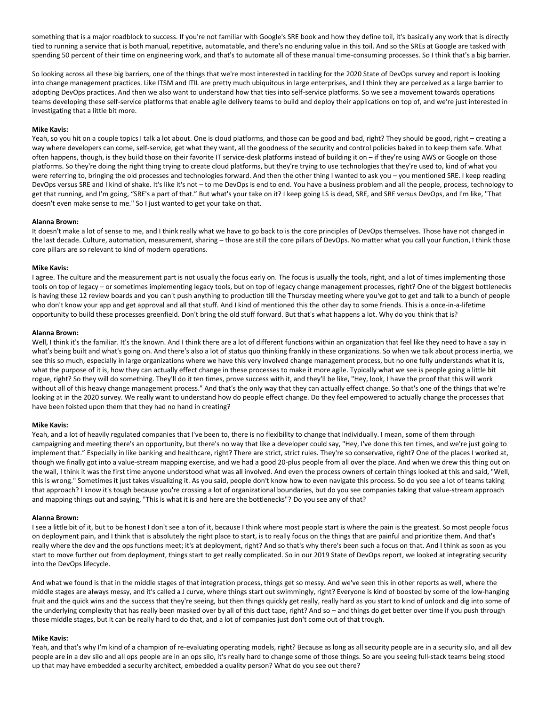something that is a major roadblock to success. If you're not familiar with Google's SRE book and how they define toil, it's basically any work that is directly tied to running a service that is both manual, repetitive, automatable, and there's no enduring value in this toil. And so the SREs at Google are tasked with spending 50 percent of their time on engineering work, and that's to automate all of these manual time-consuming processes. So I think that's a big barrier.

So looking across all these big barriers, one of the things that we're most interested in tackling for the 2020 State of DevOps survey and report is looking into change management practices. Like ITSM and ITIL are pretty much ubiquitous in large enterprises, and I think they are perceived as a large barrier to adopting DevOps practices. And then we also want to understand how that ties into self-service platforms. So we see a movement towards operations teams developing these self-service platforms that enable agile delivery teams to build and deploy their applications on top of, and we're just interested in investigating that a little bit more.

# **Mike Kavis:**

Yeah, so you hit on a couple topics I talk a lot about. One is cloud platforms, and those can be good and bad, right? They should be good, right – creating a way where developers can come, self-service, get what they want, all the goodness of the security and control policies baked in to keep them safe. What often happens, though, is they build those on their favorite IT service-desk platforms instead of building it on – if they're using AWS or Google on those platforms. So they're doing the right thing trying to create cloud platforms, but they're trying to use technologies that they're used to, kind of what you were referring to, bringing the old processes and technologies forward. And then the other thing I wanted to ask you – you mentioned SRE. I keep reading DevOps versus SRE and I kind of shake. It's like it's not – to me DevOps is end to end. You have a business problem and all the people, process, technology to get that running, and I'm going, "SRE's a part of that." But what's your take on it? I keep going LS is dead, SRE, and SRE versus DevOps, and I'm like, "That doesn't even make sense to me." So I just wanted to get your take on that.

# **Alanna Brown:**

It doesn't make a lot of sense to me, and I think really what we have to go back to is the core principles of DevOps themselves. Those have not changed in the last decade. Culture, automation, measurement, sharing – those are still the core pillars of DevOps. No matter what you call your function, I think those core pillars are so relevant to kind of modern operations.

# **Mike Kavis:**

I agree. The culture and the measurement part is not usually the focus early on. The focus is usually the tools, right, and a lot of times implementing those tools on top of legacy – or sometimes implementing legacy tools, but on top of legacy change management processes, right? One of the biggest bottlenecks is having these 12 review boards and you can't push anything to production till the Thursday meeting where you've got to get and talk to a bunch of people who don't know your app and get approval and all that stuff. And I kind of mentioned this the other day to some friends. This is a once-in-a-lifetime opportunity to build these processes greenfield. Don't bring the old stuff forward. But that's what happens a lot. Why do you think that is?

# **Alanna Brown:**

Well, I think it's the familiar. It's the known. And I think there are a lot of different functions within an organization that feel like they need to have a say in what's being built and what's going on. And there's also a lot of status quo thinking frankly in these organizations. So when we talk about process inertia, we see this so much, especially in large organizations where we have this very involved change management process, but no one fully understands what it is, what the purpose of it is, how they can actually effect change in these processes to make it more agile. Typically what we see is people going a little bit rogue, right? So they will do something. They'll do it ten times, prove success with it, and they'll be like, "Hey, look, I have the proof that this will work without all of this heavy change management process." And that's the only way that they can actually effect change. So that's one of the things that we're looking at in the 2020 survey. We really want to understand how do people effect change. Do they feel empowered to actually change the processes that have been foisted upon them that they had no hand in creating?

# **Mike Kavis:**

Yeah, and a lot of heavily regulated companies that I've been to, there is no flexibility to change that individually. I mean, some of them through campaigning and meeting there's an opportunity, but there's no way that like a developer could say, "Hey, I've done this ten times, and we're just going to implement that." Especially in like banking and healthcare, right? There are strict, strict rules. They're so conservative, right? One of the places I worked at, though we finally got into a value-stream mapping exercise, and we had a good 20-plus people from all over the place. And when we drew this thing out on the wall, I think it was the first time anyone understood what was all involved. And even the process owners of certain things looked at this and said, "Well, this is wrong." Sometimes it just takes visualizing it. As you said, people don't know how to even navigate this process. So do you see a lot of teams taking that approach? I know it's tough because you're crossing a lot of organizational boundaries, but do you see companies taking that value-stream approach and mapping things out and saying, "This is what it is and here are the bottlenecks"? Do you see any of that?

# **Alanna Brown:**

I see a little bit of it, but to be honest I don't see a ton of it, because I think where most people start is where the pain is the greatest. So most people focus on deployment pain, and I think that is absolutely the right place to start, is to really focus on the things that are painful and prioritize them. And that's really where the dev and the ops functions meet; it's at deployment, right? And so that's why there's been such a focus on that. And I think as soon as you start to move further out from deployment, things start to get really complicated. So in our 2019 State of DevOps report, we looked at integrating security into the DevOps lifecycle.

And what we found is that in the middle stages of that integration process, things get so messy. And we've seen this in other reports as well, where the middle stages are always messy, and it's called a J curve, where things start out swimmingly, right? Everyone is kind of boosted by some of the low-hanging fruit and the quick wins and the success that they're seeing, but then things quickly get really, really hard as you start to kind of unlock and dig into some of the underlying complexity that has really been masked over by all of this duct tape, right? And so – and things do get better over time if you push through those middle stages, but it can be really hard to do that, and a lot of companies just don't come out of that trough.

# **Mike Kavis:**

Yeah, and that's why I'm kind of a champion of re-evaluating operating models, right? Because as long as all security people are in a security silo, and all dev people are in a dev silo and all ops people are in an ops silo, it's really hard to change some of those things. So are you seeing full-stack teams being stood up that may have embedded a security architect, embedded a quality person? What do you see out there?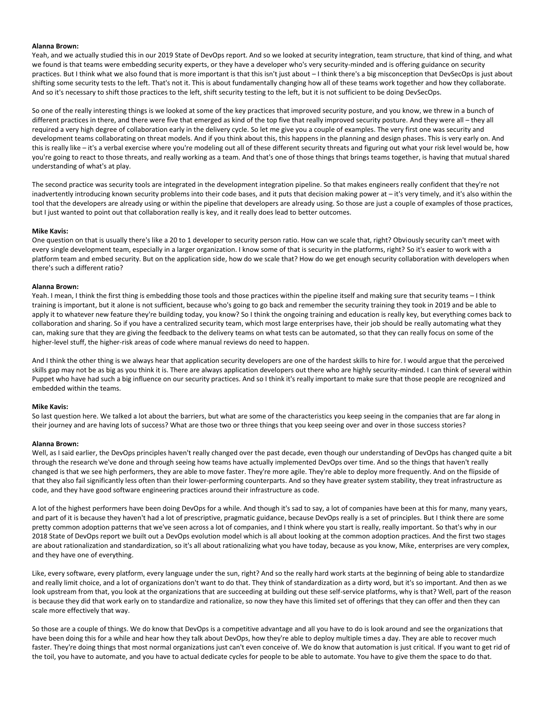# **Alanna Brown:**

Yeah, and we actually studied this in our 2019 State of DevOps report. And so we looked at security integration, team structure, that kind of thing, and what we found is that teams were embedding security experts, or they have a developer who's very security-minded and is offering guidance on security practices. But I think what we also found that is more important is that this isn't just about – I think there's a big misconception that DevSecOps is just about shifting some security tests to the left. That's not it. This is about fundamentally changing how all of these teams work together and how they collaborate. And so it's necessary to shift those practices to the left, shift security testing to the left, but it is not sufficient to be doing DevSecOps.

So one of the really interesting things is we looked at some of the key practices that improved security posture, and you know, we threw in a bunch of different practices in there, and there were five that emerged as kind of the top five that really improved security posture. And they were all – they all required a very high degree of collaboration early in the delivery cycle. So let me give you a couple of examples. The very first one was security and development teams collaborating on threat models. And if you think about this, this happens in the planning and design phases. This is very early on. And this is really like – it's a verbal exercise where you're modeling out all of these different security threats and figuring out what your risk level would be, how you're going to react to those threats, and really working as a team. And that's one of those things that brings teams together, is having that mutual shared understanding of what's at play.

The second practice was security tools are integrated in the development integration pipeline. So that makes engineers really confident that they're not inadvertently introducing known security problems into their code bases, and it puts that decision making power at – it's very timely, and it's also within the tool that the developers are already using or within the pipeline that developers are already using. So those are just a couple of examples of those practices, but I just wanted to point out that collaboration really is key, and it really does lead to better outcomes.

# **Mike Kavis:**

One question on that is usually there's like a 20 to 1 developer to security person ratio. How can we scale that, right? Obviously security can't meet with every single development team, especially in a larger organization. I know some of that is security in the platforms, right? So it's easier to work with a platform team and embed security. But on the application side, how do we scale that? How do we get enough security collaboration with developers when there's such a different ratio?

#### **Alanna Brown:**

Yeah. I mean, I think the first thing is embedding those tools and those practices within the pipeline itself and making sure that security teams – I think training is important, but it alone is not sufficient, because who's going to go back and remember the security training they took in 2019 and be able to apply it to whatever new feature they're building today, you know? So I think the ongoing training and education is really key, but everything comes back to collaboration and sharing. So if you have a centralized security team, which most large enterprises have, their job should be really automating what they can, making sure that they are giving the feedback to the delivery teams on what tests can be automated, so that they can really focus on some of the higher-level stuff, the higher-risk areas of code where manual reviews do need to happen.

And I think the other thing is we always hear that application security developers are one of the hardest skills to hire for. I would argue that the perceived skills gap may not be as big as you think it is. There are always application developers out there who are highly security-minded. I can think of several within Puppet who have had such a big influence on our security practices. And so I think it's really important to make sure that those people are recognized and embedded within the teams.

# **Mike Kavis:**

So last question here. We talked a lot about the barriers, but what are some of the characteristics you keep seeing in the companies that are far along in their journey and are having lots of success? What are those two or three things that you keep seeing over and over in those success stories?

#### **Alanna Brown:**

Well, as I said earlier, the DevOps principles haven't really changed over the past decade, even though our understanding of DevOps has changed quite a bit through the research we've done and through seeing how teams have actually implemented DevOps over time. And so the things that haven't really changed is that we see high performers, they are able to move faster. They're more agile. They're able to deploy more frequently. And on the flipside of that they also fail significantly less often than their lower-performing counterparts. And so they have greater system stability, they treat infrastructure as code, and they have good software engineering practices around their infrastructure as code.

A lot of the highest performers have been doing DevOps for a while. And though it's sad to say, a lot of companies have been at this for many, many years, and part of it is because they haven't had a lot of prescriptive, pragmatic guidance, because DevOps really is a set of principles. But I think there are some pretty common adoption patterns that we've seen across a lot of companies, and I think where you start is really, really important. So that's why in our 2018 State of DevOps report we built out a DevOps evolution model which is all about looking at the common adoption practices. And the first two stages are about rationalization and standardization, so it's all about rationalizing what you have today, because as you know, Mike, enterprises are very complex, and they have one of everything.

Like, every software, every platform, every language under the sun, right? And so the really hard work starts at the beginning of being able to standardize and really limit choice, and a lot of organizations don't want to do that. They think of standardization as a dirty word, but it's so important. And then as we look upstream from that, you look at the organizations that are succeeding at building out these self-service platforms, why is that? Well, part of the reason is because they did that work early on to standardize and rationalize, so now they have this limited set of offerings that they can offer and then they can scale more effectively that way.

So those are a couple of things. We do know that DevOps is a competitive advantage and all you have to do is look around and see the organizations that have been doing this for a while and hear how they talk about DevOps, how they're able to deploy multiple times a day. They are able to recover much faster. They're doing things that most normal organizations just can't even conceive of. We do know that automation is just critical. If you want to get rid of the toil, you have to automate, and you have to actual dedicate cycles for people to be able to automate. You have to give them the space to do that.